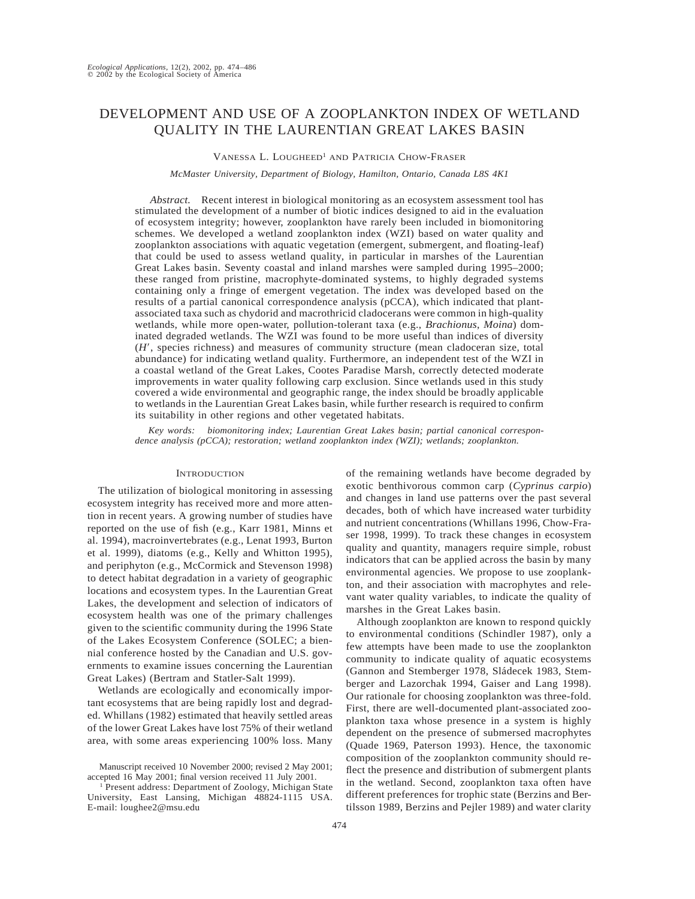# DEVELOPMENT AND USE OF A ZOOPLANKTON INDEX OF WETLAND QUALITY IN THE LAURENTIAN GREAT LAKES BASIN

## VANESSA L. LOUGHEED1 AND PATRICIA CHOW-FRASER

*McMaster University, Department of Biology, Hamilton, Ontario, Canada L8S 4K1*

*Abstract.* Recent interest in biological monitoring as an ecosystem assessment tool has stimulated the development of a number of biotic indices designed to aid in the evaluation of ecosystem integrity; however, zooplankton have rarely been included in biomonitoring schemes. We developed a wetland zooplankton index (WZI) based on water quality and zooplankton associations with aquatic vegetation (emergent, submergent, and floating-leaf) that could be used to assess wetland quality, in particular in marshes of the Laurentian Great Lakes basin. Seventy coastal and inland marshes were sampled during 1995–2000; these ranged from pristine, macrophyte-dominated systems, to highly degraded systems containing only a fringe of emergent vegetation. The index was developed based on the results of a partial canonical correspondence analysis (pCCA), which indicated that plantassociated taxa such as chydorid and macrothricid cladocerans were common in high-quality wetlands, while more open-water, pollution-tolerant taxa (e.g., *Brachionus*, *Moina*) dominated degraded wetlands. The WZI was found to be more useful than indices of diversity (*H*9, species richness) and measures of community structure (mean cladoceran size, total abundance) for indicating wetland quality. Furthermore, an independent test of the WZI in a coastal wetland of the Great Lakes, Cootes Paradise Marsh, correctly detected moderate improvements in water quality following carp exclusion. Since wetlands used in this study covered a wide environmental and geographic range, the index should be broadly applicable to wetlands in the Laurentian Great Lakes basin, while further research is required to confirm its suitability in other regions and other vegetated habitats.

*Key words: biomonitoring index; Laurentian Great Lakes basin; partial canonical correspondence analysis (pCCA); restoration; wetland zooplankton index (WZI); wetlands; zooplankton.*

## **INTRODUCTION**

The utilization of biological monitoring in assessing ecosystem integrity has received more and more attention in recent years. A growing number of studies have reported on the use of fish (e.g., Karr 1981, Minns et al. 1994), macroinvertebrates (e.g., Lenat 1993, Burton et al. 1999), diatoms (e.g., Kelly and Whitton 1995), and periphyton (e.g., McCormick and Stevenson 1998) to detect habitat degradation in a variety of geographic locations and ecosystem types. In the Laurentian Great Lakes, the development and selection of indicators of ecosystem health was one of the primary challenges given to the scientific community during the 1996 State of the Lakes Ecosystem Conference (SOLEC; a biennial conference hosted by the Canadian and U.S. governments to examine issues concerning the Laurentian Great Lakes) (Bertram and Statler-Salt 1999).

Wetlands are ecologically and economically important ecosystems that are being rapidly lost and degraded. Whillans (1982) estimated that heavily settled areas of the lower Great Lakes have lost 75% of their wetland area, with some areas experiencing 100% loss. Many of the remaining wetlands have become degraded by exotic benthivorous common carp (*Cyprinus carpio*) and changes in land use patterns over the past several decades, both of which have increased water turbidity and nutrient concentrations (Whillans 1996, Chow-Fraser 1998, 1999). To track these changes in ecosystem quality and quantity, managers require simple, robust indicators that can be applied across the basin by many environmental agencies. We propose to use zooplankton, and their association with macrophytes and relevant water quality variables, to indicate the quality of marshes in the Great Lakes basin.

Although zooplankton are known to respond quickly to environmental conditions (Schindler 1987), only a few attempts have been made to use the zooplankton community to indicate quality of aquatic ecosystems (Gannon and Stemberger 1978, Sládecek 1983, Stemberger and Lazorchak 1994, Gaiser and Lang 1998). Our rationale for choosing zooplankton was three-fold. First, there are well-documented plant-associated zooplankton taxa whose presence in a system is highly dependent on the presence of submersed macrophytes (Quade 1969, Paterson 1993). Hence, the taxonomic composition of the zooplankton community should reflect the presence and distribution of submergent plants in the wetland. Second, zooplankton taxa often have different preferences for trophic state (Berzins and Bertilsson 1989, Berzins and Pejler 1989) and water clarity

Manuscript received 10 November 2000; revised 2 May 2001; accepted 16 May 2001; final version received 11 July 2001.

<sup>&</sup>lt;sup>1</sup> Present address: Department of Zoology, Michigan State University, East Lansing, Michigan 48824-1115 USA. E-mail: loughee2@msu.edu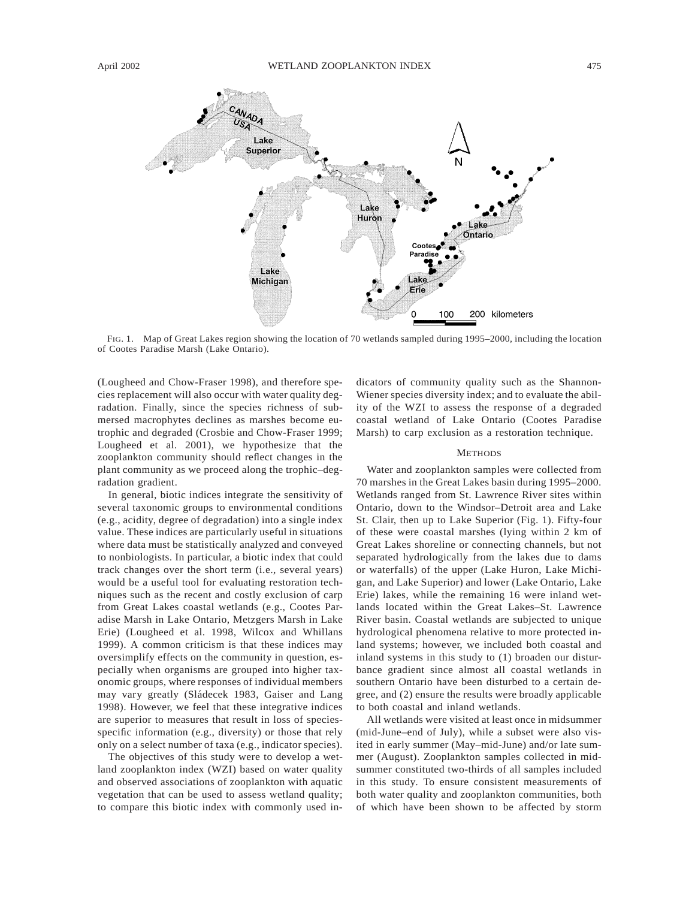

FIG. 1. Map of Great Lakes region showing the location of 70 wetlands sampled during 1995–2000, including the location of Cootes Paradise Marsh (Lake Ontario).

(Lougheed and Chow-Fraser 1998), and therefore species replacement will also occur with water quality degradation. Finally, since the species richness of submersed macrophytes declines as marshes become eutrophic and degraded (Crosbie and Chow-Fraser 1999; Lougheed et al. 2001), we hypothesize that the zooplankton community should reflect changes in the plant community as we proceed along the trophic–degradation gradient.

In general, biotic indices integrate the sensitivity of several taxonomic groups to environmental conditions (e.g., acidity, degree of degradation) into a single index value. These indices are particularly useful in situations where data must be statistically analyzed and conveyed to nonbiologists. In particular, a biotic index that could track changes over the short term (i.e., several years) would be a useful tool for evaluating restoration techniques such as the recent and costly exclusion of carp from Great Lakes coastal wetlands (e.g., Cootes Paradise Marsh in Lake Ontario, Metzgers Marsh in Lake Erie) (Lougheed et al. 1998, Wilcox and Whillans 1999). A common criticism is that these indices may oversimplify effects on the community in question, especially when organisms are grouped into higher taxonomic groups, where responses of individual members may vary greatly (Sládecek 1983, Gaiser and Lang 1998). However, we feel that these integrative indices are superior to measures that result in loss of speciesspecific information (e.g., diversity) or those that rely only on a select number of taxa (e.g., indicator species).

The objectives of this study were to develop a wetland zooplankton index (WZI) based on water quality and observed associations of zooplankton with aquatic vegetation that can be used to assess wetland quality; to compare this biotic index with commonly used indicators of community quality such as the Shannon-Wiener species diversity index; and to evaluate the ability of the WZI to assess the response of a degraded coastal wetland of Lake Ontario (Cootes Paradise Marsh) to carp exclusion as a restoration technique.

## **METHODS**

Water and zooplankton samples were collected from 70 marshes in the Great Lakes basin during 1995–2000. Wetlands ranged from St. Lawrence River sites within Ontario, down to the Windsor–Detroit area and Lake St. Clair, then up to Lake Superior (Fig. 1). Fifty-four of these were coastal marshes (lying within 2 km of Great Lakes shoreline or connecting channels, but not separated hydrologically from the lakes due to dams or waterfalls) of the upper (Lake Huron, Lake Michigan, and Lake Superior) and lower (Lake Ontario, Lake Erie) lakes, while the remaining 16 were inland wetlands located within the Great Lakes–St. Lawrence River basin. Coastal wetlands are subjected to unique hydrological phenomena relative to more protected inland systems; however, we included both coastal and inland systems in this study to (1) broaden our disturbance gradient since almost all coastal wetlands in southern Ontario have been disturbed to a certain degree, and (2) ensure the results were broadly applicable to both coastal and inland wetlands.

All wetlands were visited at least once in midsummer (mid-June–end of July), while a subset were also visited in early summer (May–mid-June) and/or late summer (August). Zooplankton samples collected in midsummer constituted two-thirds of all samples included in this study. To ensure consistent measurements of both water quality and zooplankton communities, both of which have been shown to be affected by storm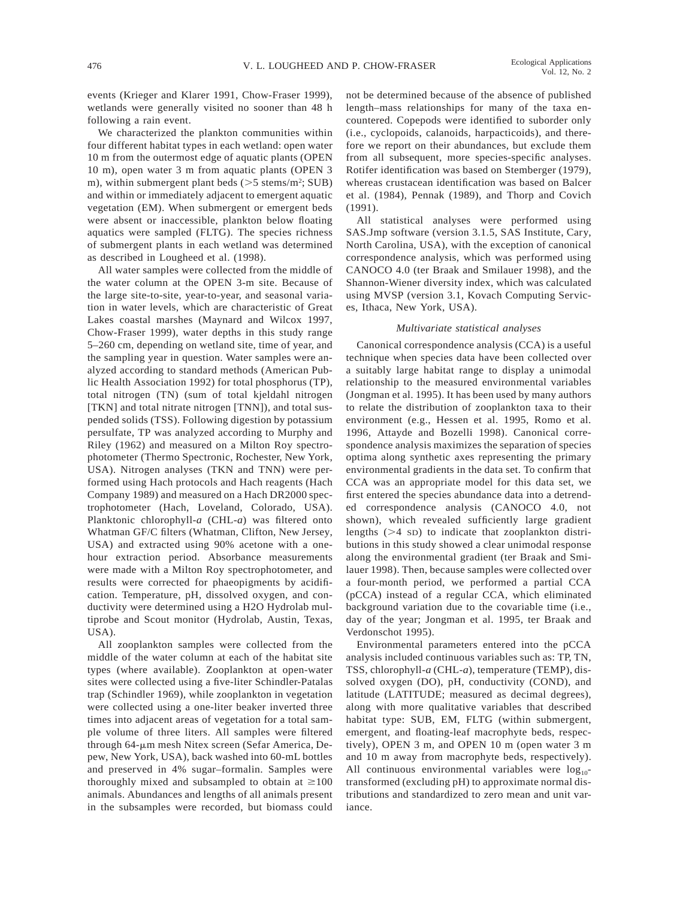events (Krieger and Klarer 1991, Chow-Fraser 1999), wetlands were generally visited no sooner than 48 h following a rain event.

We characterized the plankton communities within four different habitat types in each wetland: open water 10 m from the outermost edge of aquatic plants (OPEN 10 m), open water 3 m from aquatic plants (OPEN 3 m), within submergent plant beds  $($ >5 stems/m<sup>2</sup>; SUB) and within or immediately adjacent to emergent aquatic vegetation (EM). When submergent or emergent beds were absent or inaccessible, plankton below floating aquatics were sampled (FLTG). The species richness of submergent plants in each wetland was determined as described in Lougheed et al. (1998).

All water samples were collected from the middle of the water column at the OPEN 3-m site. Because of the large site-to-site, year-to-year, and seasonal variation in water levels, which are characteristic of Great Lakes coastal marshes (Maynard and Wilcox 1997, Chow-Fraser 1999), water depths in this study range 5–260 cm, depending on wetland site, time of year, and the sampling year in question. Water samples were analyzed according to standard methods (American Public Health Association 1992) for total phosphorus (TP), total nitrogen (TN) (sum of total kjeldahl nitrogen [TKN] and total nitrate nitrogen [TNN]), and total suspended solids (TSS). Following digestion by potassium persulfate, TP was analyzed according to Murphy and Riley (1962) and measured on a Milton Roy spectrophotometer (Thermo Spectronic, Rochester, New York, USA). Nitrogen analyses (TKN and TNN) were performed using Hach protocols and Hach reagents (Hach Company 1989) and measured on a Hach DR2000 spectrophotometer (Hach, Loveland, Colorado, USA). Planktonic chlorophyll-*a* (CHL-*a*) was filtered onto Whatman GF/C filters (Whatman, Clifton, New Jersey, USA) and extracted using 90% acetone with a onehour extraction period. Absorbance measurements were made with a Milton Roy spectrophotometer, and results were corrected for phaeopigments by acidification. Temperature, pH, dissolved oxygen, and conductivity were determined using a H2O Hydrolab multiprobe and Scout monitor (Hydrolab, Austin, Texas, USA).

All zooplankton samples were collected from the middle of the water column at each of the habitat site types (where available). Zooplankton at open-water sites were collected using a five-liter Schindler-Patalas trap (Schindler 1969), while zooplankton in vegetation were collected using a one-liter beaker inverted three times into adjacent areas of vegetation for a total sample volume of three liters. All samples were filtered through 64-mm mesh Nitex screen (Sefar America, Depew, New York, USA), back washed into 60-mL bottles and preserved in 4% sugar–formalin. Samples were thoroughly mixed and subsampled to obtain at  $\geq 100$ animals. Abundances and lengths of all animals present in the subsamples were recorded, but biomass could

not be determined because of the absence of published length–mass relationships for many of the taxa encountered. Copepods were identified to suborder only (i.e., cyclopoids, calanoids, harpacticoids), and therefore we report on their abundances, but exclude them from all subsequent, more species-specific analyses. Rotifer identification was based on Stemberger (1979), whereas crustacean identification was based on Balcer et al. (1984), Pennak (1989), and Thorp and Covich (1991).

All statistical analyses were performed using SAS.Jmp software (version 3.1.5, SAS Institute, Cary, North Carolina, USA), with the exception of canonical correspondence analysis, which was performed using CANOCO 4.0 (ter Braak and Smilauer 1998), and the Shannon-Wiener diversity index, which was calculated using MVSP (version 3.1, Kovach Computing Services, Ithaca, New York, USA).

## *Multivariate statistical analyses*

Canonical correspondence analysis (CCA) is a useful technique when species data have been collected over a suitably large habitat range to display a unimodal relationship to the measured environmental variables (Jongman et al. 1995). It has been used by many authors to relate the distribution of zooplankton taxa to their environment (e.g., Hessen et al. 1995, Romo et al. 1996, Attayde and Bozelli 1998). Canonical correspondence analysis maximizes the separation of species optima along synthetic axes representing the primary environmental gradients in the data set. To confirm that CCA was an appropriate model for this data set, we first entered the species abundance data into a detrended correspondence analysis (CANOCO 4.0, not shown), which revealed sufficiently large gradient lengths  $(>4$  sp) to indicate that zooplankton distributions in this study showed a clear unimodal response along the environmental gradient (ter Braak and Smilauer 1998). Then, because samples were collected over a four-month period, we performed a partial CCA (pCCA) instead of a regular CCA, which eliminated background variation due to the covariable time (i.e., day of the year; Jongman et al. 1995, ter Braak and Verdonschot 1995).

Environmental parameters entered into the pCCA analysis included continuous variables such as: TP, TN, TSS, chlorophyll-*a* (CHL-*a*), temperature (TEMP), dissolved oxygen (DO), pH, conductivity (COND), and latitude (LATITUDE; measured as decimal degrees), along with more qualitative variables that described habitat type: SUB, EM, FLTG (within submergent, emergent, and floating-leaf macrophyte beds, respectively), OPEN 3 m, and OPEN 10 m (open water 3 m and 10 m away from macrophyte beds, respectively). All continuous environmental variables were  $log_{10}$ transformed (excluding pH) to approximate normal distributions and standardized to zero mean and unit variance.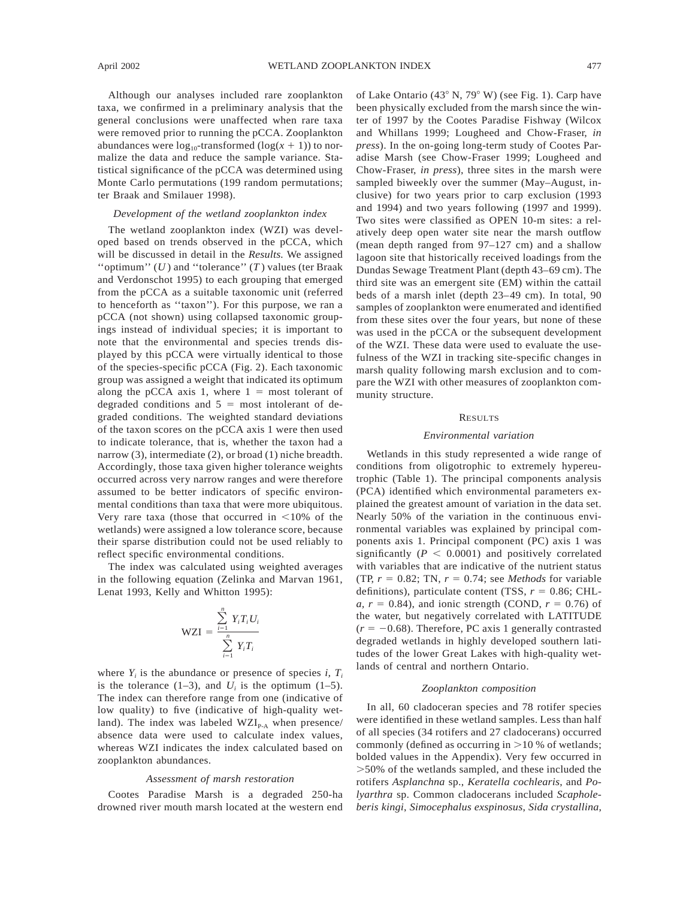Although our analyses included rare zooplankton taxa, we confirmed in a preliminary analysis that the general conclusions were unaffected when rare taxa were removed prior to running the pCCA. Zooplankton abundances were  $log_{10}$ -transformed  $(log(x + 1))$  to normalize the data and reduce the sample variance. Statistical significance of the pCCA was determined using Monte Carlo permutations (199 random permutations; ter Braak and Smilauer 1998).

## *Development of the wetland zooplankton index*

The wetland zooplankton index (WZI) was developed based on trends observed in the pCCA, which will be discussed in detail in the *Results.* We assigned "optimum"  $(U)$  and "tolerance"  $(T)$  values (ter Braak and Verdonschot 1995) to each grouping that emerged from the pCCA as a suitable taxonomic unit (referred to henceforth as ''taxon''). For this purpose, we ran a pCCA (not shown) using collapsed taxonomic groupings instead of individual species; it is important to note that the environmental and species trends displayed by this pCCA were virtually identical to those of the species-specific pCCA (Fig. 2). Each taxonomic group was assigned a weight that indicated its optimum along the pCCA axis 1, where  $1 =$  most tolerant of degraded conditions and  $5 =$  most intolerant of degraded conditions. The weighted standard deviations of the taxon scores on the pCCA axis 1 were then used to indicate tolerance, that is, whether the taxon had a narrow (3), intermediate (2), or broad (1) niche breadth. Accordingly, those taxa given higher tolerance weights occurred across very narrow ranges and were therefore assumed to be better indicators of specific environmental conditions than taxa that were more ubiquitous. Very rare taxa (those that occurred in  $\leq 10\%$  of the wetlands) were assigned a low tolerance score, because their sparse distribution could not be used reliably to reflect specific environmental conditions.

The index was calculated using weighted averages in the following equation (Zelinka and Marvan 1961, Lenat 1993, Kelly and Whitton 1995):

$$
\text{WZI} = \frac{\sum_{i=1}^{n} Y_i T_i U_i}{\sum_{i=1}^{n} Y_i T_i}
$$

where  $Y_i$  is the abundance or presence of species  $i, T_i$ is the tolerance  $(1-3)$ , and  $U_i$  is the optimum  $(1-5)$ . The index can therefore range from one (indicative of low quality) to five (indicative of high-quality wetland). The index was labeled  $WZI_{P-A}$  when presence/ absence data were used to calculate index values, whereas WZI indicates the index calculated based on zooplankton abundances.

## *Assessment of marsh restoration*

Cootes Paradise Marsh is a degraded 250-ha drowned river mouth marsh located at the western end of Lake Ontario (43 $\degree$  N, 79 $\degree$  W) (see Fig. 1). Carp have been physically excluded from the marsh since the winter of 1997 by the Cootes Paradise Fishway (Wilcox and Whillans 1999; Lougheed and Chow-Fraser, *in press*). In the on-going long-term study of Cootes Paradise Marsh (see Chow-Fraser 1999; Lougheed and Chow-Fraser, *in press*), three sites in the marsh were sampled biweekly over the summer (May–August, inclusive) for two years prior to carp exclusion (1993 and 1994) and two years following (1997 and 1999). Two sites were classified as OPEN 10-m sites: a relatively deep open water site near the marsh outflow (mean depth ranged from 97–127 cm) and a shallow lagoon site that historically received loadings from the Dundas Sewage Treatment Plant (depth 43–69 cm). The third site was an emergent site (EM) within the cattail beds of a marsh inlet (depth 23–49 cm). In total, 90 samples of zooplankton were enumerated and identified from these sites over the four years, but none of these was used in the pCCA or the subsequent development of the WZI. These data were used to evaluate the usefulness of the WZI in tracking site-specific changes in marsh quality following marsh exclusion and to compare the WZI with other measures of zooplankton community structure.

## **RESULTS**

### *Environmental variation*

Wetlands in this study represented a wide range of conditions from oligotrophic to extremely hypereutrophic (Table 1). The principal components analysis (PCA) identified which environmental parameters explained the greatest amount of variation in the data set. Nearly 50% of the variation in the continuous environmental variables was explained by principal components axis 1. Principal component (PC) axis 1 was significantly ( $P < 0.0001$ ) and positively correlated with variables that are indicative of the nutrient status (TP,  $r = 0.82$ ; TN,  $r = 0.74$ ; see *Methods* for variable definitions), particulate content (TSS,  $r = 0.86$ ; CHL $a, r = 0.84$ ), and ionic strength (COND,  $r = 0.76$ ) of the water, but negatively correlated with LATITUDE  $(r = -0.68)$ . Therefore, PC axis 1 generally contrasted degraded wetlands in highly developed southern latitudes of the lower Great Lakes with high-quality wetlands of central and northern Ontario.

#### *Zooplankton composition*

In all, 60 cladoceran species and 78 rotifer species were identified in these wetland samples. Less than half of all species (34 rotifers and 27 cladocerans) occurred commonly (defined as occurring in  $>10$  % of wetlands; bolded values in the Appendix). Very few occurred in .50% of the wetlands sampled, and these included the rotifers *Asplanchna* sp., *Keratella cochlearis*, and *Polyarthra* sp. Common cladocerans included *Scapholeberis kingi*, *Simocephalus exspinosus*, *Sida crystallina*,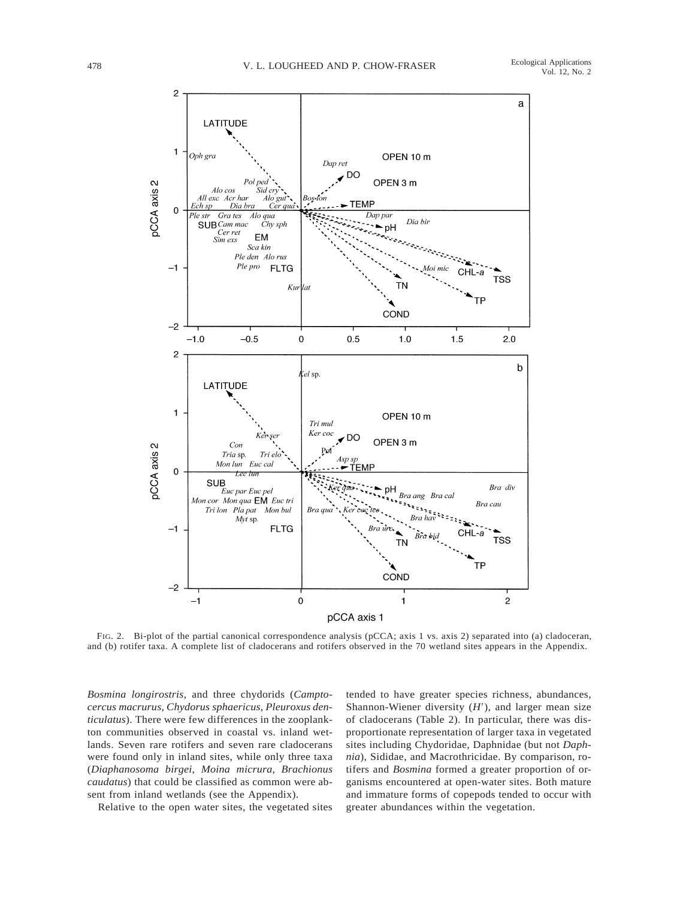

FIG. 2. Bi-plot of the partial canonical correspondence analysis (pCCA; axis 1 vs. axis 2) separated into (a) cladoceran, and (b) rotifer taxa. A complete list of cladocerans and rotifers observed in the 70 wetland sites appears in the Appendix.

*Bosmina longirostris*, and three chydorids (*Camptocercus macrurus*, *Chydorus sphaericus*, *Pleuroxus denticulatus*). There were few differences in the zooplankton communities observed in coastal vs. inland wetlands. Seven rare rotifers and seven rare cladocerans were found only in inland sites, while only three taxa (*Diaphanosoma birgei*, *Moina micrura*, *Brachionus caudatus*) that could be classified as common were absent from inland wetlands (see the Appendix).

Relative to the open water sites, the vegetated sites

tended to have greater species richness, abundances, Shannon-Wiener diversity  $(H')$ , and larger mean size of cladocerans (Table 2). In particular, there was disproportionate representation of larger taxa in vegetated sites including Chydoridae, Daphnidae (but not *Daphnia*), Sididae, and Macrothricidae. By comparison, rotifers and *Bosmina* formed a greater proportion of organisms encountered at open-water sites. Both mature and immature forms of copepods tended to occur with greater abundances within the vegetation.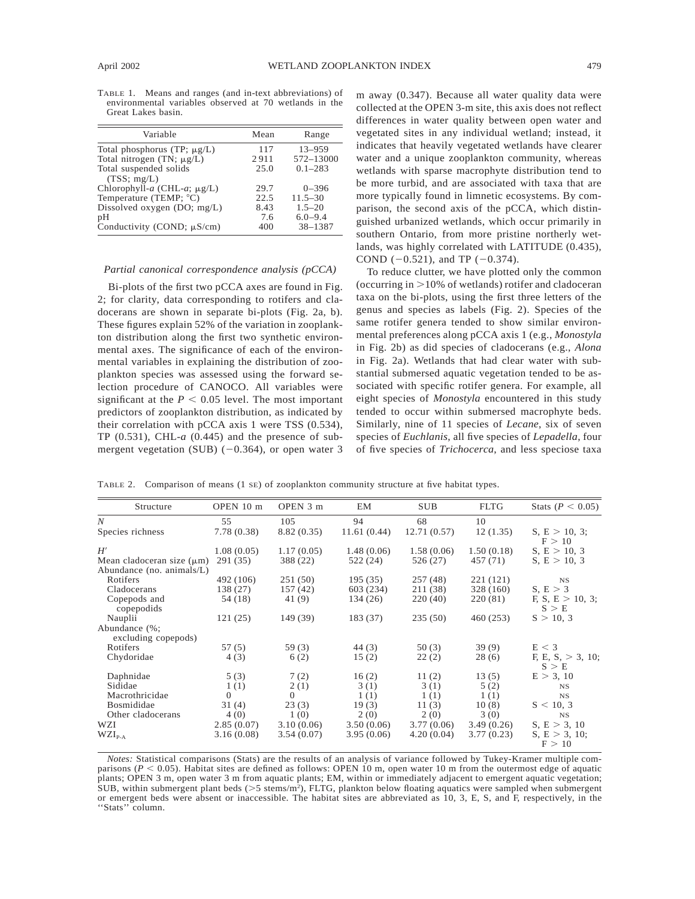TABLE 1. Means and ranges (and in-text abbreviations) of environmental variables observed at 70 wetlands in the Great Lakes basin.

| Variable                                                                                                                                                                                                                    | Mean                                               | Range                                                                                           |
|-----------------------------------------------------------------------------------------------------------------------------------------------------------------------------------------------------------------------------|----------------------------------------------------|-------------------------------------------------------------------------------------------------|
| Total phosphorus (TP; $\mu$ g/L)<br>Total nitrogen $(TN; \mu g/L)$<br>Total suspended solids<br>(TSS; mg/L)<br>Chlorophyll-a (CHL-a; $\mu$ g/L)<br>Temperature (TEMP; $^{\circ}$ C)<br>Dissolved oxygen (DO; $mg/L$ )<br>pH | 117<br>2911<br>25.0<br>29.7<br>22.5<br>8.43<br>7.6 | $13 - 959$<br>572-13000<br>$0.1 - 283$<br>$0 - 396$<br>$11.5 - 30$<br>$1.5 - 20$<br>$6.0 - 9.4$ |
| Conductivity (COND; $\mu$ S/cm)                                                                                                                                                                                             | 400                                                | 38-1387                                                                                         |

## *Partial canonical correspondence analysis (pCCA)*

Bi-plots of the first two pCCA axes are found in Fig. 2; for clarity, data corresponding to rotifers and cladocerans are shown in separate bi-plots (Fig. 2a, b). These figures explain 52% of the variation in zooplankton distribution along the first two synthetic environmental axes. The significance of each of the environmental variables in explaining the distribution of zooplankton species was assessed using the forward selection procedure of CANOCO. All variables were significant at the  $P < 0.05$  level. The most important predictors of zooplankton distribution, as indicated by their correlation with pCCA axis 1 were TSS (0.534), TP  $(0.531)$ , CHL- $a(0.445)$  and the presence of submergent vegetation (SUB)  $(-0.364)$ , or open water 3 m away (0.347). Because all water quality data were collected at the OPEN 3-m site, this axis does not reflect differences in water quality between open water and vegetated sites in any individual wetland; instead, it indicates that heavily vegetated wetlands have clearer water and a unique zooplankton community, whereas wetlands with sparse macrophyte distribution tend to be more turbid, and are associated with taxa that are more typically found in limnetic ecosystems. By comparison, the second axis of the pCCA, which distinguished urbanized wetlands, which occur primarily in southern Ontario, from more pristine northerly wetlands, was highly correlated with LATITUDE (0.435), COND ( $-0.521$ ), and TP ( $-0.374$ ).

To reduce clutter, we have plotted only the common (occurring in  $>10\%$  of wetlands) rotifer and cladoceran taxa on the bi-plots, using the first three letters of the genus and species as labels (Fig. 2). Species of the same rotifer genera tended to show similar environmental preferences along pCCA axis 1 (e.g., *Monostyla* in Fig. 2b) as did species of cladocerans (e.g., *Alona* in Fig. 2a). Wetlands that had clear water with substantial submersed aquatic vegetation tended to be associated with specific rotifer genera. For example, all eight species of *Monostyla* encountered in this study tended to occur within submersed macrophyte beds. Similarly, nine of 11 species of *Lecane*, six of seven species of *Euchlanis*, all five species of *Lepadella*, four of five species of *Trichocerca*, and less speciose taxa

TABLE 2. Comparison of means (1 SE) of zooplankton community structure at five habitat types.

| Structure                                                   | OPEN 10 m  | OPEN 3 m   | EM          | <b>SUB</b>  | <b>FLTG</b> | Stats ( $P < 0.05$ )       |
|-------------------------------------------------------------|------------|------------|-------------|-------------|-------------|----------------------------|
| $\boldsymbol{N}$                                            | 55         | 105        | 94          | 68          | 10          |                            |
| Species richness                                            | 7.78(0.38) | 8.82(0.35) | 11.61(0.44) | 12.71(0.57) | 12(1.35)    | S, E > 10, 3;<br>F > 10    |
| H'                                                          | 1.08(0.05) | 1.17(0.05) | 1.48(0.06)  | 1.58(0.06)  | 1.50(0.18)  | S, E > 10, 3               |
| Mean cladoceran size $(\mu m)$<br>Abundance (no. animals/L) | 291 (35)   | 388 (22)   | 522(24)     | 526(27)     | 457 (71)    | S, E > 10, 3               |
| Rotifers                                                    | 492 (106)  | 251(50)    | 195(35)     | 257(48)     | 221 (121)   | <b>NS</b>                  |
| Cladocerans                                                 | 138 (27)   | 157(42)    | 603 (234)   | 211 (38)    | 328 (160)   | S, E > 3                   |
| Copepods and<br>copepodids                                  | 54 (18)    | 41 (9)     | 134(26)     | 220(40)     | 220 (81)    | F, S, E > 10, 3;<br>S > E  |
| Nauplii                                                     | 121(25)    | 149 (39)   | 183 (37)    | 235(50)     | 460 (253)   | S > 10, 3                  |
| Abundance (%;<br>excluding copepods)                        |            |            |             |             |             |                            |
| Rotifers                                                    | 57(5)      | 59(3)      | 44(3)       | 50(3)       | 39(9)       | E < 3                      |
| Chydoridae                                                  | 4(3)       | 6(2)       | 15(2)       | 22(2)       | 28(6)       | F, E, S, > 3, 10;<br>S > E |
| Daphnidae                                                   | 5(3)       | 7(2)       | 16(2)       | 11(2)       | 13(5)       | E > 3, 10                  |
| Sididae                                                     | 1(1)       | 2(1)       | 3(1)        | 3(1)        | 5(2)        | <b>NS</b>                  |
| Macrothricidae                                              | $\Omega$   | $\Omega$   | 1(1)        | 1(1)        | 1(1)        | <b>NS</b>                  |
| Bosmididae                                                  | 31(4)      | 23(3)      | 19(3)       | 11(3)       | 10(8)       | S < 10, 3                  |
| Other cladocerans                                           | 4(0)       | 1(0)       | 2(0)        | 2(0)        | 3(0)        | <b>NS</b>                  |
| WZI                                                         | 2.85(0.07) | 3.10(0.06) | 3.50(0.06)  | 3.77(0.06)  | 3.49(0.26)  | S, E > 3, 10               |
| $\mathsf{WZI}_{\text{P-A}}$                                 | 3.16(0.08) | 3.54(0.07) | 3.95(0.06)  | 4.20(0.04)  | 3.77(0.23)  | S, E > 3, 10;<br>F > 10    |

*Notes:* Statistical comparisons (Stats) are the results of an analysis of variance followed by Tukey-Kramer multiple comparisons ( $P < 0.05$ ). Habitat sites are defined as follows: OPEN 10 m, open water 10 m from the outermost edge of aquatic plants; OPEN 3 m, open water 3 m from aquatic plants; EM, within or immediately adjacent to emergent aquatic vegetation; SUB, within submergent plant beds  $(>5 \text{ stems/m}^2)$ , FLTG, plankton below floating aquatics were sampled when submergent or emergent beds were absent or inaccessible. The habitat sites are abbreviated as 10, 3, E, S, and F, respectively, in the "Stats" column.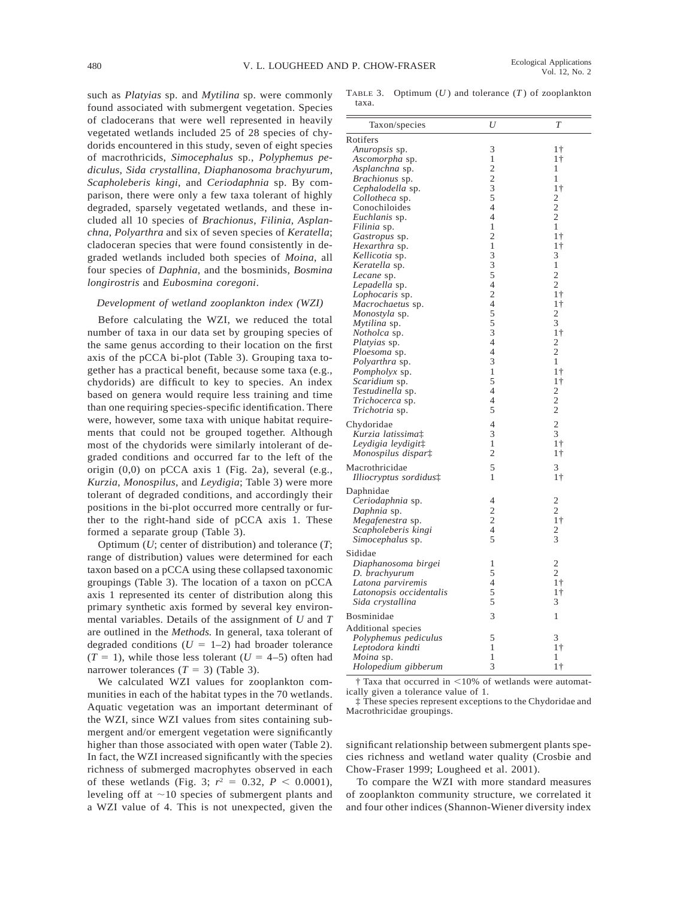such as *Platyias* sp. and *Mytilina* sp. were commonly found associated with submergent vegetation. Species of cladocerans that were well represented in heavily vegetated wetlands included 25 of 28 species of chydorids encountered in this study, seven of eight species of macrothricids, *Simocephalus* sp., *Polyphemus pediculus*, *Sida crystallina*, *Diaphanosoma brachyurum*, *Scapholeberis kingi*, and *Ceriodaphnia* sp. By comparison, there were only a few taxa tolerant of highly degraded, sparsely vegetated wetlands, and these included all 10 species of *Brachionus*, *Filinia*, *Asplanchna*, *Polyarthra* and six of seven species of *Keratella*; cladoceran species that were found consistently in degraded wetlands included both species of *Moina*, all four species of *Daphnia*, and the bosminids, *Bosmina longirostris* and *Eubosmina coregoni*.

### *Development of wetland zooplankton index (WZI)*

Before calculating the WZI, we reduced the total number of taxa in our data set by grouping species of the same genus according to their location on the first axis of the pCCA bi-plot (Table 3). Grouping taxa together has a practical benefit, because some taxa (e.g., chydorids) are difficult to key to species. An index based on genera would require less training and time than one requiring species-specific identification. There were, however, some taxa with unique habitat requirements that could not be grouped together. Although most of the chydorids were similarly intolerant of degraded conditions and occurred far to the left of the origin  $(0,0)$  on pCCA axis 1 (Fig. 2a), several (e.g., *Kurzia*, *Monospilus*, and *Leydigia*; Table 3) were more tolerant of degraded conditions, and accordingly their positions in the bi-plot occurred more centrally or further to the right-hand side of pCCA axis 1. These formed a separate group (Table 3).

Optimum (*U*; center of distribution) and tolerance (*T*; range of distribution) values were determined for each taxon based on a pCCA using these collapsed taxonomic groupings (Table 3). The location of a taxon on pCCA axis 1 represented its center of distribution along this primary synthetic axis formed by several key environmental variables. Details of the assignment of *U* and *T* are outlined in the *Methods.* In general, taxa tolerant of degraded conditions  $(U = 1-2)$  had broader tolerance  $(T = 1)$ , while those less tolerant  $(U = 4-5)$  often had narrower tolerances  $(T = 3)$  (Table 3).

We calculated WZI values for zooplankton communities in each of the habitat types in the 70 wetlands. Aquatic vegetation was an important determinant of the WZI, since WZI values from sites containing submergent and/or emergent vegetation were significantly higher than those associated with open water (Table 2). In fact, the WZI increased significantly with the species richness of submerged macrophytes observed in each of these wetlands (Fig. 3;  $r^2 = 0.32$ ,  $P < 0.0001$ ), leveling off at  $\sim$ 10 species of submergent plants and a WZI value of 4. This is not unexpected, given the

TABLE 3. Optimum  $(U)$  and tolerance  $(T)$  of zooplankton taxa.

| Taxon/species                  | $\overline{U}$                             | $\overline{T}$      |
|--------------------------------|--------------------------------------------|---------------------|
| Rotifers                       |                                            |                     |
| <i>Anuropsis</i> sp.           | 3                                          | 1†                  |
| <i>Ascomorpha</i> sp.          | $\mathbf{1}$                               | 1†                  |
| Asplanchna sp.                 | $\frac{2}{3}$                              | 1                   |
| <i>Brachionus</i> sp.          |                                            | 1                   |
| Cephalodella sp.               |                                            | $1\dagger$          |
| Collotheca sp.                 | 5                                          | $\overline{c}$      |
| Conochiloides                  | $\overline{4}$                             | $\overline{c}$      |
| Euchlanis sp.                  | $\overline{4}$                             | $\overline{c}$      |
| <i>Filinia</i> sp.             | $\mathbf{1}$                               | 1                   |
| <i>Gastropus</i> sp.           | $\overline{2}$                             | $1\dagger$          |
| <i>Hexarthra</i> sp.           | $\,1$                                      | 1†                  |
| Kellicotia sp.                 | $3^{3}$<br>$5^{4}$                         | 3                   |
| Keratella sp.                  |                                            | 1<br>$\overline{2}$ |
| <i>Lecane</i> sp.              |                                            | $\overline{2}$      |
| Lepadella sp.                  |                                            |                     |
| Lophocaris sp.                 | $\frac{2}{4}$                              | $1\dagger$<br>$1+$  |
| Macrochaetus sp.               |                                            |                     |
| Monostyla sp.                  | $\begin{array}{c} 5 \\ 5 \\ 3 \end{array}$ | $\overline{c}$<br>3 |
| <i>Mytilina</i> sp.            |                                            | $1+$                |
| <i>Notholca</i> sp.            | $\overline{4}$                             | $\overline{c}$      |
| Platyias sp.                   | $\overline{4}$                             | $\overline{2}$      |
| Ploesoma sp.<br>Polyarthra sp. | 3                                          | $\mathbf{1}$        |
| <i>Pompholyx</i> sp.           | $\mathbf{1}$                               | $1+$                |
| Scaridium sp.                  | 5                                          | $1+$                |
| Testudinella sp.               | $\overline{4}$                             | $\overline{c}$      |
| <i>Trichocerca</i> sp.         | $\overline{4}$                             | $\overline{c}$      |
| Trichotria sp.                 | 5                                          | $\overline{2}$      |
| Chydoridae                     | $\overline{4}$                             | $\overline{2}$      |
| Kurzia latissima‡              | 3                                          | 3                   |
| Leydigia leydigit‡             | $\mathbf{1}$                               | $1+$                |
| Monospilus dispar <sup>†</sup> | $\overline{c}$                             | 1†                  |
|                                |                                            |                     |
| Macrothricidae                 | 5                                          | 3                   |
| Illiocryptus sordidus:         | 1                                          | 1†                  |
| Daphnidae                      |                                            |                     |
| Ceriodaphnia sp.               | $\overline{4}$                             | $\overline{c}$      |
| Daphnia sp.                    | $\frac{2}{2}$                              | $\overline{c}$      |
| Megafenestra sp.               |                                            | $1+$                |
| Scapholeberis kingi            | $\overline{4}$                             | $\overline{c}$      |
| Simocephalus sp.               | 5                                          | 3                   |
| Sididae                        |                                            |                     |
| Diaphanosoma birgei            | 1                                          | $\overline{c}$      |
| D. brachyurum                  | 5                                          | $\overline{2}$      |
| Latona parviremis              | $\overline{4}$                             | $1+$                |
| Latonopsis occidentalis        |                                            | 1†                  |
| Sida crystallina               | $\frac{5}{5}$                              | 3                   |
| Bosminidae                     | 3                                          | 1                   |
| Additional species             |                                            |                     |
| Polyphemus pediculus           | 5                                          | 3                   |
| Leptodora kindti               | 1                                          | $1+$                |
| <i>Moina</i> sp.               | 1                                          | 1                   |
| Holopedium gibberum            | 3                                          | $1\dagger$          |
|                                |                                            |                     |

 $\dagger$  Taxa that occurred in <10% of wetlands were automatically given a tolerance value of 1.

‡ These species represent exceptions to the Chydoridae and Macrothricidae groupings.

significant relationship between submergent plants species richness and wetland water quality (Crosbie and Chow-Fraser 1999; Lougheed et al. 2001).

To compare the WZI with more standard measures of zooplankton community structure, we correlated it and four other indices (Shannon-Wiener diversity index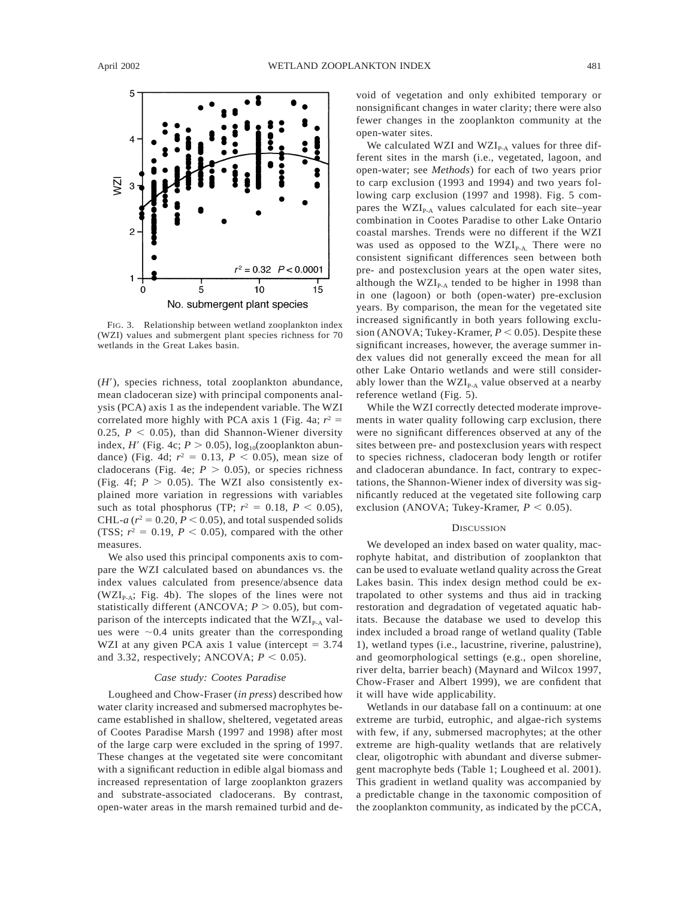

FIG. 3. Relationship between wetland zooplankton index (WZI) values and submergent plant species richness for 70 wetlands in the Great Lakes basin.

 $(H')$ , species richness, total zooplankton abundance, mean cladoceran size) with principal components analysis (PCA) axis 1 as the independent variable. The WZI correlated more highly with PCA axis 1 (Fig. 4a;  $r^2$  = 0.25,  $P < 0.05$ ), than did Shannon-Wiener diversity index, *H'* (Fig. 4c;  $P > 0.05$ ),  $\log_{10}($ zooplankton abundance) (Fig. 4d;  $r^2 = 0.13$ ,  $P < 0.05$ ), mean size of cladocerans (Fig. 4e;  $P > 0.05$ ), or species richness (Fig. 4f;  $P > 0.05$ ). The WZI also consistently explained more variation in regressions with variables such as total phosphorus (TP;  $r^2 = 0.18$ ,  $P < 0.05$ ), CHL- $a (r^2 = 0.20, P \le 0.05)$ , and total suspended solids (TSS;  $r^2 = 0.19$ ,  $P < 0.05$ ), compared with the other measures.

We also used this principal components axis to compare the WZI calculated based on abundances vs. the index values calculated from presence/absence data (WZI<sub>P-A</sub>; Fig. 4b). The slopes of the lines were not statistically different (ANCOVA;  $P > 0.05$ ), but comparison of the intercepts indicated that the  $WZI_{P_{A}}$  values were  $\sim 0.4$  units greater than the corresponding WZI at any given PCA axis 1 value (intercept  $= 3.74$ ) and 3.32, respectively; ANCOVA;  $P < 0.05$ ).

## *Case study: Cootes Paradise*

Lougheed and Chow-Fraser (*in press*) described how water clarity increased and submersed macrophytes became established in shallow, sheltered, vegetated areas of Cootes Paradise Marsh (1997 and 1998) after most of the large carp were excluded in the spring of 1997. These changes at the vegetated site were concomitant with a significant reduction in edible algal biomass and increased representation of large zooplankton grazers and substrate-associated cladocerans. By contrast, open-water areas in the marsh remained turbid and devoid of vegetation and only exhibited temporary or nonsignificant changes in water clarity; there were also fewer changes in the zooplankton community at the open-water sites.

We calculated WZI and WZI<sub>P-A</sub> values for three different sites in the marsh (i.e., vegetated, lagoon, and open-water; see *Methods*) for each of two years prior to carp exclusion (1993 and 1994) and two years following carp exclusion (1997 and 1998). Fig. 5 compares the  $WZI_{P-A}$  values calculated for each site–year combination in Cootes Paradise to other Lake Ontario coastal marshes. Trends were no different if the WZI was used as opposed to the  $WZI_{P-A}$ . There were no consistent significant differences seen between both pre- and postexclusion years at the open water sites, although the  $WZI_{P-A}$  tended to be higher in 1998 than in one (lagoon) or both (open-water) pre-exclusion years. By comparison, the mean for the vegetated site increased significantly in both years following exclusion (ANOVA; Tukey-Kramer,  $P < 0.05$ ). Despite these significant increases, however, the average summer index values did not generally exceed the mean for all other Lake Ontario wetlands and were still considerably lower than the  $WZI_{P-A}$  value observed at a nearby reference wetland (Fig. 5).

While the WZI correctly detected moderate improvements in water quality following carp exclusion, there were no significant differences observed at any of the sites between pre- and postexclusion years with respect to species richness, cladoceran body length or rotifer and cladoceran abundance. In fact, contrary to expectations, the Shannon-Wiener index of diversity was significantly reduced at the vegetated site following carp exclusion (ANOVA; Tukey-Kramer,  $P < 0.05$ ).

## **DISCUSSION**

We developed an index based on water quality, macrophyte habitat, and distribution of zooplankton that can be used to evaluate wetland quality across the Great Lakes basin. This index design method could be extrapolated to other systems and thus aid in tracking restoration and degradation of vegetated aquatic habitats. Because the database we used to develop this index included a broad range of wetland quality (Table 1), wetland types (i.e., lacustrine, riverine, palustrine), and geomorphological settings (e.g., open shoreline, river delta, barrier beach) (Maynard and Wilcox 1997, Chow-Fraser and Albert 1999), we are confident that it will have wide applicability.

Wetlands in our database fall on a continuum: at one extreme are turbid, eutrophic, and algae-rich systems with few, if any, submersed macrophytes; at the other extreme are high-quality wetlands that are relatively clear, oligotrophic with abundant and diverse submergent macrophyte beds (Table 1; Lougheed et al. 2001). This gradient in wetland quality was accompanied by a predictable change in the taxonomic composition of the zooplankton community, as indicated by the pCCA,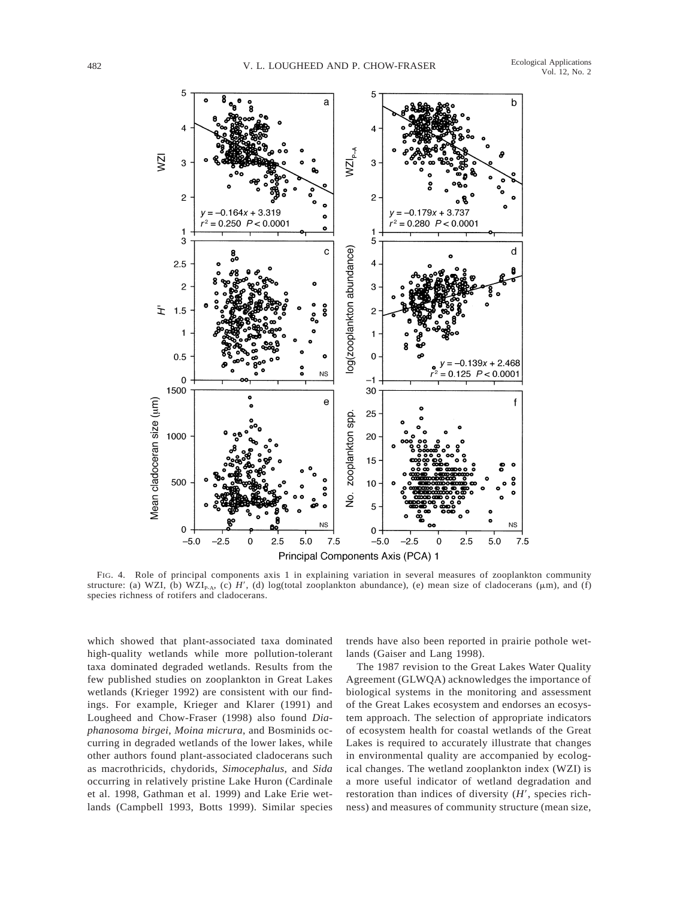

FIG. 4. Role of principal components axis 1 in explaining variation in several measures of zooplankton community structure: (a) WZI, (b) WZI<sub>P-A</sub>, (c)  $H'$ , (d) log(total zooplankton abundance), (e) mean size of cladocerans ( $\mu$ m), and (f) species richness of rotifers and cladocerans.

which showed that plant-associated taxa dominated high-quality wetlands while more pollution-tolerant taxa dominated degraded wetlands. Results from the few published studies on zooplankton in Great Lakes wetlands (Krieger 1992) are consistent with our findings. For example, Krieger and Klarer (1991) and Lougheed and Chow-Fraser (1998) also found *Diaphanosoma birgei*, *Moina micrura*, and Bosminids occurring in degraded wetlands of the lower lakes, while other authors found plant-associated cladocerans such as macrothricids, chydorids, *Simocephalus*, and *Sida* occurring in relatively pristine Lake Huron (Cardinale et al. 1998, Gathman et al. 1999) and Lake Erie wetlands (Campbell 1993, Botts 1999). Similar species

trends have also been reported in prairie pothole wetlands (Gaiser and Lang 1998).

The 1987 revision to the Great Lakes Water Quality Agreement (GLWQA) acknowledges the importance of biological systems in the monitoring and assessment of the Great Lakes ecosystem and endorses an ecosystem approach. The selection of appropriate indicators of ecosystem health for coastal wetlands of the Great Lakes is required to accurately illustrate that changes in environmental quality are accompanied by ecological changes. The wetland zooplankton index (WZI) is a more useful indicator of wetland degradation and restoration than indices of diversity  $(H'$ , species richness) and measures of community structure (mean size,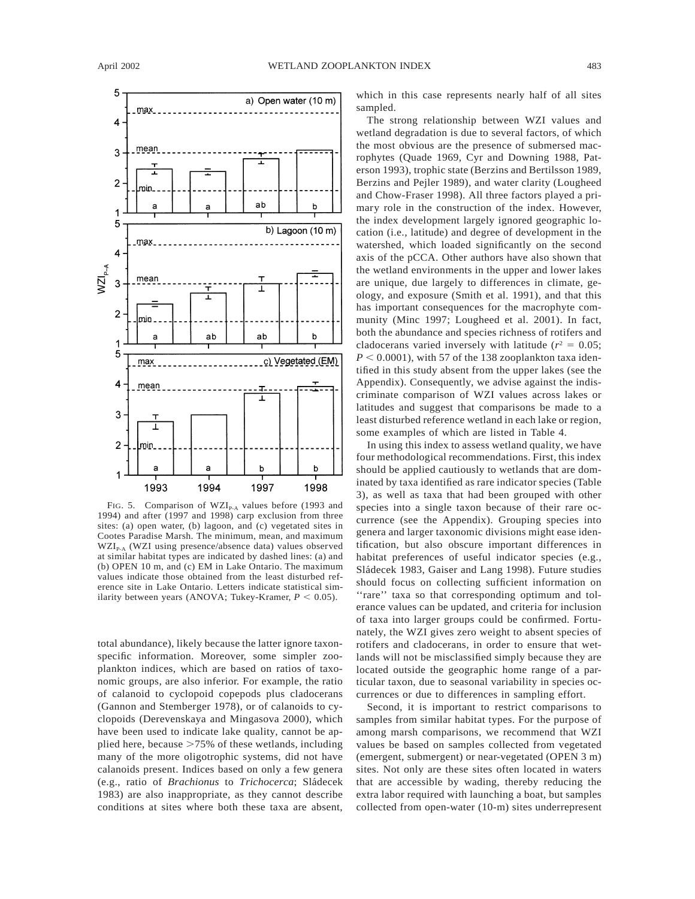

FIG. 5. Comparison of  $WZI_{P-A}$  values before (1993 and 1994) and after (1997 and 1998) carp exclusion from three sites: (a) open water, (b) lagoon, and (c) vegetated sites in Cootes Paradise Marsh. The minimum, mean, and maximum WZI<sub>P-A</sub> (WZI using presence/absence data) values observed at similar habitat types are indicated by dashed lines: (a) and (b) OPEN 10 m, and (c) EM in Lake Ontario. The maximum values indicate those obtained from the least disturbed reference site in Lake Ontario. Letters indicate statistical similarity between years (ANOVA; Tukey-Kramer,  $P < 0.05$ ).

total abundance), likely because the latter ignore taxonspecific information. Moreover, some simpler zooplankton indices, which are based on ratios of taxonomic groups, are also inferior. For example, the ratio of calanoid to cyclopoid copepods plus cladocerans (Gannon and Stemberger 1978), or of calanoids to cyclopoids (Derevenskaya and Mingasova 2000), which have been used to indicate lake quality, cannot be applied here, because  $>75\%$  of these wetlands, including many of the more oligotrophic systems, did not have calanoids present. Indices based on only a few genera (e.g., ratio of *Brachionus* to *Trichocerca*; Sla´decek 1983) are also inappropriate, as they cannot describe conditions at sites where both these taxa are absent, which in this case represents nearly half of all sites sampled.

The strong relationship between WZI values and wetland degradation is due to several factors, of which the most obvious are the presence of submersed macrophytes (Quade 1969, Cyr and Downing 1988, Paterson 1993), trophic state (Berzins and Bertilsson 1989, Berzins and Pejler 1989), and water clarity (Lougheed and Chow-Fraser 1998). All three factors played a primary role in the construction of the index. However, the index development largely ignored geographic location (i.e., latitude) and degree of development in the watershed, which loaded significantly on the second axis of the pCCA. Other authors have also shown that the wetland environments in the upper and lower lakes are unique, due largely to differences in climate, geology, and exposure (Smith et al. 1991), and that this has important consequences for the macrophyte community (Minc 1997; Lougheed et al. 2001). In fact, both the abundance and species richness of rotifers and cladocerans varied inversely with latitude ( $r^2 = 0.05$ ;  $P < 0.0001$ ), with 57 of the 138 zooplankton taxa identified in this study absent from the upper lakes (see the Appendix). Consequently, we advise against the indiscriminate comparison of WZI values across lakes or latitudes and suggest that comparisons be made to a least disturbed reference wetland in each lake or region, some examples of which are listed in Table 4.

In using this index to assess wetland quality, we have four methodological recommendations. First, this index should be applied cautiously to wetlands that are dominated by taxa identified as rare indicator species (Table 3), as well as taxa that had been grouped with other species into a single taxon because of their rare occurrence (see the Appendix). Grouping species into genera and larger taxonomic divisions might ease identification, but also obscure important differences in habitat preferences of useful indicator species (e.g., Sládecek 1983, Gaiser and Lang 1998). Future studies should focus on collecting sufficient information on ''rare'' taxa so that corresponding optimum and tolerance values can be updated, and criteria for inclusion of taxa into larger groups could be confirmed. Fortunately, the WZI gives zero weight to absent species of rotifers and cladocerans, in order to ensure that wetlands will not be misclassified simply because they are located outside the geographic home range of a particular taxon, due to seasonal variability in species occurrences or due to differences in sampling effort.

Second, it is important to restrict comparisons to samples from similar habitat types. For the purpose of among marsh comparisons, we recommend that WZI values be based on samples collected from vegetated (emergent, submergent) or near-vegetated (OPEN 3 m) sites. Not only are these sites often located in waters that are accessible by wading, thereby reducing the extra labor required with launching a boat, but samples collected from open-water (10-m) sites underrepresent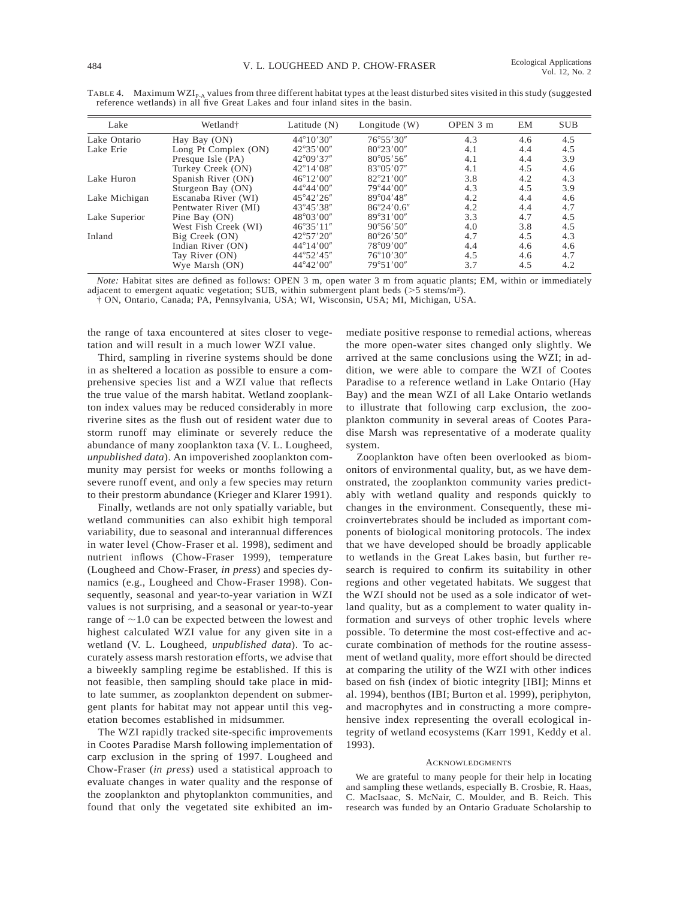Lake Wetland† Latitude (N) Longitude (W) OPEN 3 m EM SUB Lake Ontario Hay Bay (ON)  $44^{\circ}10'30''$   $76^{\circ}55'30''$  4.3 4.6 4.5<br>
Lake Erie Long Pt Complex (ON)  $42^{\circ}35'00''$   $80^{\circ}23'00''$  4.1 4.4 4.5 Long Pt Complex (ON) Presque Isle (PA) Turkey Creek (ON) 42°35'00" 42°09'37"  $42^{\circ}14'08''$ 80°23'00" 80°05'56" 83°05'07' 4.1 4.1 4.1 4.4 4.4 4.5 4.5 3.9 4.6 Lake Huron Spanish River (ON) Sturgeon Bay (ON)  $46^{\circ}12'00''$ 44°44'00" 82°21'00' 79°44'00" 3.8 4.3  $4.2$ 4.5 4.3 3.9 Lake Michigan Escanaba River (WI) Pentwater River (MI) 45°42'26' 43°45'38" 89°04'48"  $86^{\circ}24'0.6''$ 4.2 4.2 4.4 4.4 4.6 4.7 Lake Superior Pine Bay (ON) West Fish Creek (WI)  $48^{\circ}03'00''$ 46°35'11"  $89°31'00''$ 90°56'50" 3.3 4.0 4.7 3.8 4.5 4.5 Inland Big Creek (ON) Indian River (ON) Tay River (ON) Wye Marsh (ON) 42°57'20" 44°14'00" 44°52'45'  $44^{\circ}42'00''$  $80^{\circ}26'50''$ 78°09'00" 76°10'30' 79°51'00" 4.7 4.4 4.5 3.7 4.5 4.6 4.6 4.5 4.3 4.6 4.7 4.2

TABLE 4. Maximum  $WZI_{pA}$  values from three different habitat types at the least disturbed sites visited in this study (suggested reference wetlands) in all five Great Lakes and four inland sites in the basin.

*Note:* Habitat sites are defined as follows: OPEN 3 m, open water 3 m from aquatic plants; EM, within or immediately adjacent to emergent aquatic vegetation; SUB, within submergent plant beds ( $>$ 5 stems/m<sup>2</sup>).

† ON, Ontario, Canada; PA, Pennsylvania, USA; WI, Wisconsin, USA; MI, Michigan, USA.

the range of taxa encountered at sites closer to vegetation and will result in a much lower WZI value.

Third, sampling in riverine systems should be done in as sheltered a location as possible to ensure a comprehensive species list and a WZI value that reflects the true value of the marsh habitat. Wetland zooplankton index values may be reduced considerably in more riverine sites as the flush out of resident water due to storm runoff may eliminate or severely reduce the abundance of many zooplankton taxa (V. L. Lougheed, *unpublished data*). An impoverished zooplankton community may persist for weeks or months following a severe runoff event, and only a few species may return to their prestorm abundance (Krieger and Klarer 1991).

Finally, wetlands are not only spatially variable, but wetland communities can also exhibit high temporal variability, due to seasonal and interannual differences in water level (Chow-Fraser et al. 1998), sediment and nutrient inflows (Chow-Fraser 1999), temperature (Lougheed and Chow-Fraser, *in press*) and species dynamics (e.g., Lougheed and Chow-Fraser 1998). Consequently, seasonal and year-to-year variation in WZI values is not surprising, and a seasonal or year-to-year range of  $\sim$ 1.0 can be expected between the lowest and highest calculated WZI value for any given site in a wetland (V. L. Lougheed, *unpublished data*). To accurately assess marsh restoration efforts, we advise that a biweekly sampling regime be established. If this is not feasible, then sampling should take place in midto late summer, as zooplankton dependent on submergent plants for habitat may not appear until this vegetation becomes established in midsummer.

The WZI rapidly tracked site-specific improvements in Cootes Paradise Marsh following implementation of carp exclusion in the spring of 1997. Lougheed and Chow-Fraser (*in press*) used a statistical approach to evaluate changes in water quality and the response of the zooplankton and phytoplankton communities, and found that only the vegetated site exhibited an immediate positive response to remedial actions, whereas the more open-water sites changed only slightly. We arrived at the same conclusions using the WZI; in addition, we were able to compare the WZI of Cootes Paradise to a reference wetland in Lake Ontario (Hay Bay) and the mean WZI of all Lake Ontario wetlands to illustrate that following carp exclusion, the zooplankton community in several areas of Cootes Paradise Marsh was representative of a moderate quality system.

Zooplankton have often been overlooked as biomonitors of environmental quality, but, as we have demonstrated, the zooplankton community varies predictably with wetland quality and responds quickly to changes in the environment. Consequently, these microinvertebrates should be included as important components of biological monitoring protocols. The index that we have developed should be broadly applicable to wetlands in the Great Lakes basin, but further research is required to confirm its suitability in other regions and other vegetated habitats. We suggest that the WZI should not be used as a sole indicator of wetland quality, but as a complement to water quality information and surveys of other trophic levels where possible. To determine the most cost-effective and accurate combination of methods for the routine assessment of wetland quality, more effort should be directed at comparing the utility of the WZI with other indices based on fish (index of biotic integrity [IBI]; Minns et al. 1994), benthos (IBI; Burton et al. 1999), periphyton, and macrophytes and in constructing a more comprehensive index representing the overall ecological integrity of wetland ecosystems (Karr 1991, Keddy et al. 1993).

#### ACKNOWLEDGMENTS

We are grateful to many people for their help in locating and sampling these wetlands, especially B. Crosbie, R. Haas, C. MacIsaac, S. McNair, C. Moulder, and B. Reich. This research was funded by an Ontario Graduate Scholarship to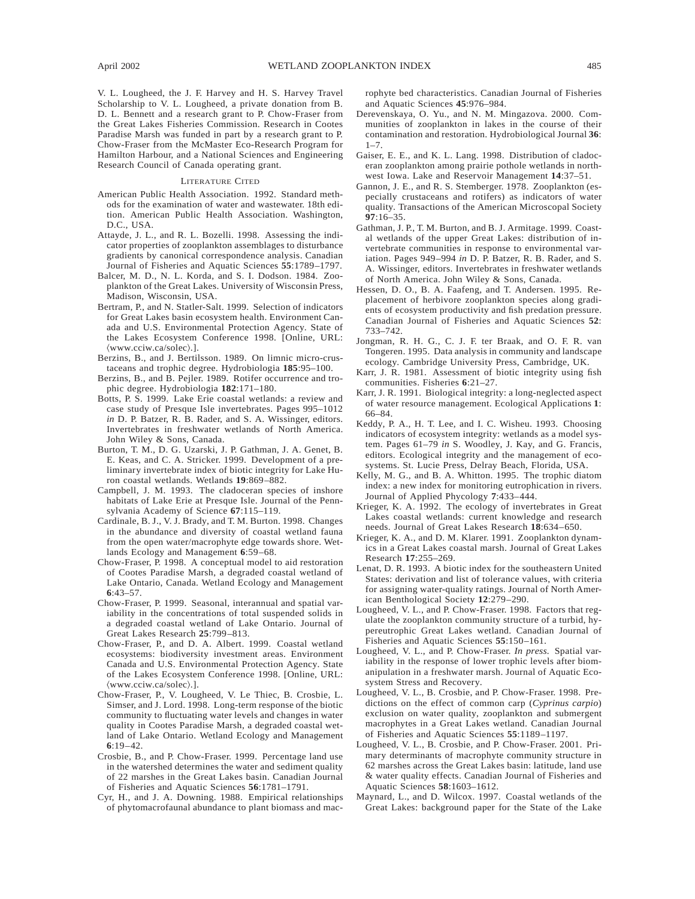V. L. Lougheed, the J. F. Harvey and H. S. Harvey Travel Scholarship to V. L. Lougheed, a private donation from B. D. L. Bennett and a research grant to P. Chow-Fraser from the Great Lakes Fisheries Commission. Research in Cootes Paradise Marsh was funded in part by a research grant to P. Chow-Fraser from the McMaster Eco-Research Program for Hamilton Harbour, and a National Sciences and Engineering Research Council of Canada operating grant.

#### LITERATURE CITED

- American Public Health Association. 1992. Standard methods for the examination of water and wastewater. 18th edition. American Public Health Association. Washington, D.C., USA.
- Attayde, J. L., and R. L. Bozelli. 1998. Assessing the indicator properties of zooplankton assemblages to disturbance gradients by canonical correspondence analysis. Canadian Journal of Fisheries and Aquatic Sciences **55**:1789–1797.
- Balcer, M. D., N. L. Korda, and S. I. Dodson. 1984. Zooplankton of the Great Lakes. University of Wisconsin Press, Madison, Wisconsin, USA.
- Bertram, P., and N. Statler-Salt. 1999. Selection of indicators for Great Lakes basin ecosystem health. Environment Canada and U.S. Environmental Protection Agency. State of the Lakes Ecosystem Conference 1998. [Online, URL: ^www.cciw.ca/solec&.].
- Berzins, B., and J. Bertilsson. 1989. On limnic micro-crustaceans and trophic degree. Hydrobiologia **185**:95–100.
- Berzins, B., and B. Pejler. 1989. Rotifer occurrence and trophic degree. Hydrobiologia **182**:171–180.
- Botts, P. S. 1999. Lake Erie coastal wetlands: a review and case study of Presque Isle invertebrates. Pages 995–1012 *in* D. P. Batzer, R. B. Rader, and S. A. Wissinger, editors. Invertebrates in freshwater wetlands of North America. John Wiley & Sons, Canada.
- Burton, T. M., D. G. Uzarski, J. P. Gathman, J. A. Genet, B. E. Keas, and C. A. Stricker. 1999. Development of a preliminary invertebrate index of biotic integrity for Lake Huron coastal wetlands. Wetlands **19**:869–882.
- Campbell, J. M. 1993. The cladoceran species of inshore habitats of Lake Erie at Presque Isle. Journal of the Pennsylvania Academy of Science **67**:115–119.
- Cardinale, B. J., V. J. Brady, and T. M. Burton. 1998. Changes in the abundance and diversity of coastal wetland fauna from the open water/macrophyte edge towards shore. Wetlands Ecology and Management **6**:59–68.
- Chow-Fraser, P. 1998. A conceptual model to aid restoration of Cootes Paradise Marsh, a degraded coastal wetland of Lake Ontario, Canada. Wetland Ecology and Management **6**:43–57.
- Chow-Fraser, P. 1999. Seasonal, interannual and spatial variability in the concentrations of total suspended solids in a degraded coastal wetland of Lake Ontario. Journal of Great Lakes Research **25**:799–813.
- Chow-Fraser, P., and D. A. Albert. 1999. Coastal wetland ecosystems: biodiversity investment areas. Environment Canada and U.S. Environmental Protection Agency. State of the Lakes Ecosystem Conference 1998. [Online, URL: ^www.cciw.ca/solec&.].
- Chow-Fraser, P., V. Lougheed, V. Le Thiec, B. Crosbie, L. Simser, and J. Lord. 1998. Long-term response of the biotic community to fluctuating water levels and changes in water quality in Cootes Paradise Marsh, a degraded coastal wetland of Lake Ontario. Wetland Ecology and Management **6**:19–42.
- Crosbie, B., and P. Chow-Fraser. 1999. Percentage land use in the watershed determines the water and sediment quality of 22 marshes in the Great Lakes basin. Canadian Journal of Fisheries and Aquatic Sciences **56**:1781–1791.
- Cyr, H., and J. A. Downing. 1988. Empirical relationships of phytomacrofaunal abundance to plant biomass and mac-

rophyte bed characteristics. Canadian Journal of Fisheries and Aquatic Sciences **45**:976–984.

- Derevenskaya, O. Yu., and N. M. Mingazova. 2000. Communities of zooplankton in lakes in the course of their contamination and restoration. Hydrobiological Journal **36**:  $1 - 7$ .
- Gaiser, E. E., and K. L. Lang. 1998. Distribution of cladoceran zooplankton among prairie pothole wetlands in northwest Iowa. Lake and Reservoir Management **14**:37–51.
- Gannon, J. E., and R. S. Stemberger. 1978. Zooplankton (especially crustaceans and rotifers) as indicators of water quality. Transactions of the American Microscopal Society **97**:16–35.
- Gathman, J. P., T. M. Burton, and B. J. Armitage. 1999. Coastal wetlands of the upper Great Lakes: distribution of invertebrate communities in response to environmental variation. Pages 949–994 *in* D. P. Batzer, R. B. Rader, and S. A. Wissinger, editors. Invertebrates in freshwater wetlands of North America. John Wiley & Sons, Canada.
- Hessen, D. O., B. A. Faafeng, and T. Andersen. 1995. Replacement of herbivore zooplankton species along gradients of ecosystem productivity and fish predation pressure. Canadian Journal of Fisheries and Aquatic Sciences **52**: 733–742.
- Jongman, R. H. G., C. J. F. ter Braak, and O. F. R. van Tongeren. 1995. Data analysis in community and landscape ecology. Cambridge University Press, Cambridge, UK.
- Karr, J. R. 1981. Assessment of biotic integrity using fish communities. Fisheries **6**:21–27.
- Karr, J. R. 1991. Biological integrity: a long-neglected aspect of water resource management. Ecological Applications **1**: 66–84.
- Keddy, P. A., H. T. Lee, and I. C. Wisheu. 1993. Choosing indicators of ecosystem integrity: wetlands as a model system. Pages 61–79 *in* S. Woodley, J. Kay, and G. Francis, editors. Ecological integrity and the management of ecosystems. St. Lucie Press, Delray Beach, Florida, USA.
- Kelly, M. G., and B. A. Whitton. 1995. The trophic diatom index: a new index for monitoring eutrophication in rivers. Journal of Applied Phycology **7**:433–444.
- Krieger, K. A. 1992. The ecology of invertebrates in Great Lakes coastal wetlands: current knowledge and research needs. Journal of Great Lakes Research **18**:634–650.
- Krieger, K. A., and D. M. Klarer. 1991. Zooplankton dynamics in a Great Lakes coastal marsh. Journal of Great Lakes Research **17**:255–269.
- Lenat, D. R. 1993. A biotic index for the southeastern United States: derivation and list of tolerance values, with criteria for assigning water-quality ratings. Journal of North American Benthological Society **12**:279–290.
- Lougheed, V. L., and P. Chow-Fraser. 1998. Factors that regulate the zooplankton community structure of a turbid, hypereutrophic Great Lakes wetland. Canadian Journal of Fisheries and Aquatic Sciences **55**:150–161.
- Lougheed, V. L., and P. Chow-Fraser. *In press.* Spatial variability in the response of lower trophic levels after biomanipulation in a freshwater marsh. Journal of Aquatic Ecosystem Stress and Recovery.
- Lougheed, V. L., B. Crosbie, and P. Chow-Fraser. 1998. Predictions on the effect of common carp (*Cyprinus carpio*) exclusion on water quality, zooplankton and submergent macrophytes in a Great Lakes wetland. Canadian Journal of Fisheries and Aquatic Sciences **55**:1189–1197.
- Lougheed, V. L., B. Crosbie, and P. Chow-Fraser. 2001. Primary determinants of macrophyte community structure in 62 marshes across the Great Lakes basin: latitude, land use & water quality effects. Canadian Journal of Fisheries and Aquatic Sciences **58**:1603–1612.
- Maynard, L., and D. Wilcox. 1997. Coastal wetlands of the Great Lakes: background paper for the State of the Lake